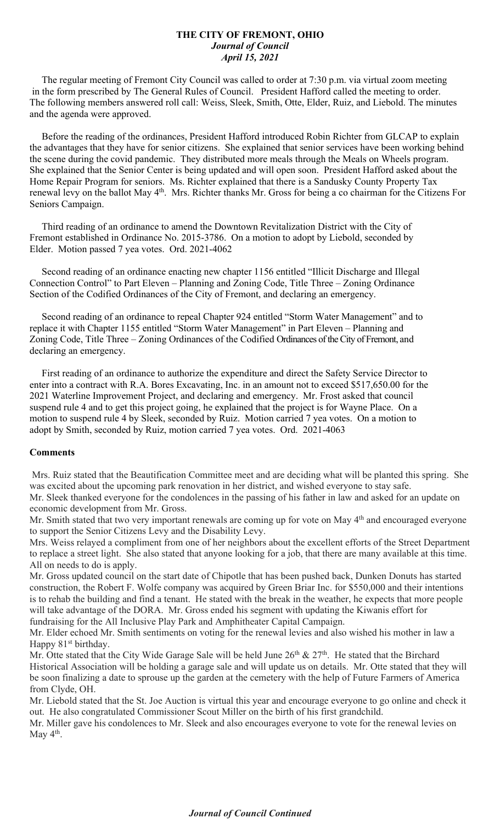## **THE CITY OF FREMONT, OHIO** *Journal of Council April 15, 2021*

 The regular meeting of Fremont City Council was called to order at 7:30 p.m. via virtual zoom meeting in the form prescribed by The General Rules of Council. President Hafford called the meeting to order. The following members answered roll call: Weiss, Sleek, Smith, Otte, Elder, Ruiz, and Liebold. The minutes and the agenda were approved.

 Before the reading of the ordinances, President Hafford introduced Robin Richter from GLCAP to explain the advantages that they have for senior citizens. She explained that senior services have been working behind the scene during the covid pandemic. They distributed more meals through the Meals on Wheels program. She explained that the Senior Center is being updated and will open soon. President Hafford asked about the Home Repair Program for seniors. Ms. Richter explained that there is a Sandusky County Property Tax renewal levy on the ballot May 4<sup>th</sup>. Mrs. Richter thanks Mr. Gross for being a co chairman for the Citizens For Seniors Campaign.

 Third reading of an ordinance to amend the Downtown Revitalization District with the City of Fremont established in Ordinance No. 2015-3786. On a motion to adopt by Liebold, seconded by Elder. Motion passed 7 yea votes. Ord. 2021-4062

 Second reading of an ordinance enacting new chapter 1156 entitled "Illicit Discharge and Illegal Connection Control" to Part Eleven – Planning and Zoning Code, Title Three – Zoning Ordinance Section of the Codified Ordinances of the City of Fremont, and declaring an emergency.

 Second reading of an ordinance to repeal Chapter 924 entitled "Storm Water Management" and to replace it with Chapter 1155 entitled "Storm Water Management" in Part Eleven – Planning and Zoning Code, Title Three – Zoning Ordinances of the Codified Ordinances of the City of Fremont, and declaring an emergency.

 First reading of an ordinance to authorize the expenditure and direct the Safety Service Director to enter into a contract with R.A. Bores Excavating, Inc. in an amount not to exceed \$517,650.00 for the 2021 Waterline Improvement Project, and declaring and emergency. Mr. Frost asked that council suspend rule 4 and to get this project going, he explained that the project is for Wayne Place. On a motion to suspend rule 4 by Sleek, seconded by Ruiz. Motion carried 7 yea votes. On a motion to adopt by Smith, seconded by Ruiz, motion carried 7 yea votes. Ord. 2021-4063

## **Comments**

Mrs. Ruiz stated that the Beautification Committee meet and are deciding what will be planted this spring. She was excited about the upcoming park renovation in her district, and wished everyone to stay safe. Mr. Sleek thanked everyone for the condolences in the passing of his father in law and asked for an update on

economic development from Mr. Gross.

Mr. Smith stated that two very important renewals are coming up for vote on May 4<sup>th</sup> and encouraged everyone to support the Senior Citizens Levy and the Disability Levy.

Mrs. Weiss relayed a compliment from one of her neighbors about the excellent efforts of the Street Department to replace a street light. She also stated that anyone looking for a job, that there are many available at this time. All on needs to do is apply.

Mr. Gross updated council on the start date of Chipotle that has been pushed back, Dunken Donuts has started construction, the Robert F. Wolfe company was acquired by Green Briar Inc. for \$550,000 and their intentions is to rehab the building and find a tenant. He stated with the break in the weather, he expects that more people will take advantage of the DORA. Mr. Gross ended his segment with updating the Kiwanis effort for fundraising for the All Inclusive Play Park and Amphitheater Capital Campaign.

Mr. Elder echoed Mr. Smith sentiments on voting for the renewal levies and also wished his mother in law a Happy 81<sup>st</sup> birthday.

Mr. Otte stated that the City Wide Garage Sale will be held June  $26<sup>th</sup>$  &  $27<sup>th</sup>$ . He stated that the Birchard Historical Association will be holding a garage sale and will update us on details. Mr. Otte stated that they will be soon finalizing a date to sprouse up the garden at the cemetery with the help of Future Farmers of America from Clyde, OH.

Mr. Liebold stated that the St. Joe Auction is virtual this year and encourage everyone to go online and check it out. He also congratulated Commissioner Scout Miller on the birth of his first grandchild.

Mr. Miller gave his condolences to Mr. Sleek and also encourages everyone to vote for the renewal levies on May  $4<sup>th</sup>$ .

## *Journal of Council Continued*